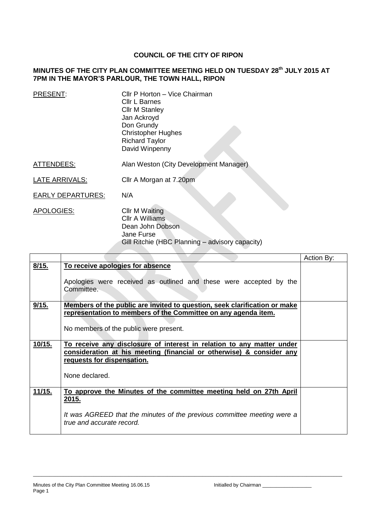## **COUNCIL OF THE CITY OF RIPON**

## **MINUTES OF THE CITY PLAN COMMITTEE MEETING HELD ON TUESDAY 28th JULY 2015 AT 7PM IN THE MAYOR'S PARLOUR, THE TOWN HALL, RIPON**

| PRESENT:   | Cllr P Horton - Vice Chairman<br><b>Cllr L Barnes</b><br><b>Cllr M Stanley</b><br>Jan Ackroyd<br>Don Grundy<br><b>Christopher Hughes</b><br><b>Richard Taylor</b><br>David Winpenny |
|------------|-------------------------------------------------------------------------------------------------------------------------------------------------------------------------------------|
| ATTENDEES: | Alan Weston (City Development Manager)                                                                                                                                              |

LATE ARRIVALS: Cllr A Morgan at 7.20pm

EARLY DEPARTURES: N/A

APOLOGIES: Cllr M Waiting Cllr A Williams Dean John Dobson Jane Furse Gill Ritchie (HBC Planning – advisory capacity)

|        |                                                                                                                                                                                               | Action By: |
|--------|-----------------------------------------------------------------------------------------------------------------------------------------------------------------------------------------------|------------|
| 8/15.  | To receive apologies for absence                                                                                                                                                              |            |
|        | Apologies were received as outlined and these were accepted by the<br>Committee.                                                                                                              |            |
| 9/15.  | Members of the public are invited to question, seek clarification or make<br>representation to members of the Committee on any agenda item.<br>No members of the public were present.         |            |
| 10/15. | To receive any disclosure of interest in relation to any matter under<br>consideration at his meeting (financial or otherwise) & consider any<br>requests for dispensation.<br>None declared. |            |
| 11/15. | To approve the Minutes of the committee meeting held on 27th April<br>2015.<br>It was AGREED that the minutes of the previous committee meeting were a<br>true and accurate record.           |            |

\_\_\_\_\_\_\_\_\_\_\_\_\_\_\_\_\_\_\_\_\_\_\_\_\_\_\_\_\_\_\_\_\_\_\_\_\_\_\_\_\_\_\_\_\_\_\_\_\_\_\_\_\_\_\_\_\_\_\_\_\_\_\_\_\_\_\_\_\_\_\_\_\_\_\_\_\_\_\_\_\_\_\_\_\_\_\_\_\_\_\_\_\_\_\_\_\_\_\_\_\_\_\_\_\_\_\_\_\_\_\_\_\_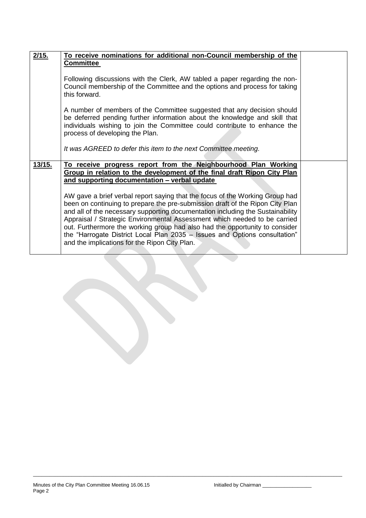| 2/15.  | To receive nominations for additional non-Council membership of the                                                                                                                                                                                                                                                                                                                                                                                                                                                                        |  |
|--------|--------------------------------------------------------------------------------------------------------------------------------------------------------------------------------------------------------------------------------------------------------------------------------------------------------------------------------------------------------------------------------------------------------------------------------------------------------------------------------------------------------------------------------------------|--|
|        | <b>Committee</b>                                                                                                                                                                                                                                                                                                                                                                                                                                                                                                                           |  |
|        |                                                                                                                                                                                                                                                                                                                                                                                                                                                                                                                                            |  |
|        | Following discussions with the Clerk, AW tabled a paper regarding the non-<br>Council membership of the Committee and the options and process for taking<br>this forward.                                                                                                                                                                                                                                                                                                                                                                  |  |
|        | A number of members of the Committee suggested that any decision should<br>be deferred pending further information about the knowledge and skill that<br>individuals wishing to join the Committee could contribute to enhance the<br>process of developing the Plan.                                                                                                                                                                                                                                                                      |  |
|        | It was AGREED to defer this item to the next Committee meeting.                                                                                                                                                                                                                                                                                                                                                                                                                                                                            |  |
| 13/15. | To receive progress report from the Neighbourhood Plan Working                                                                                                                                                                                                                                                                                                                                                                                                                                                                             |  |
|        | Group in relation to the development of the final draft Ripon City Plan                                                                                                                                                                                                                                                                                                                                                                                                                                                                    |  |
|        | and supporting documentation - verbal update                                                                                                                                                                                                                                                                                                                                                                                                                                                                                               |  |
|        | AW gave a brief verbal report saying that the focus of the Working Group had<br>been on continuing to prepare the pre-submission draft of the Ripon City Plan<br>and all of the necessary supporting documentation including the Sustainability<br>Appraisal / Strategic Environmental Assessment which needed to be carried<br>out. Furthermore the working group had also had the opportunity to consider<br>the "Harrogate District Local Plan 2035 - Issues and Options consultation"<br>and the implications for the Ripon City Plan. |  |
|        |                                                                                                                                                                                                                                                                                                                                                                                                                                                                                                                                            |  |

\_\_\_\_\_\_\_\_\_\_\_\_\_\_\_\_\_\_\_\_\_\_\_\_\_\_\_\_\_\_\_\_\_\_\_\_\_\_\_\_\_\_\_\_\_\_\_\_\_\_\_\_\_\_\_\_\_\_\_\_\_\_\_\_\_\_\_\_\_\_\_\_\_\_\_\_\_\_\_\_\_\_\_\_\_\_\_\_\_\_\_\_\_\_\_\_\_\_\_\_\_\_\_\_\_\_\_\_\_\_\_\_\_